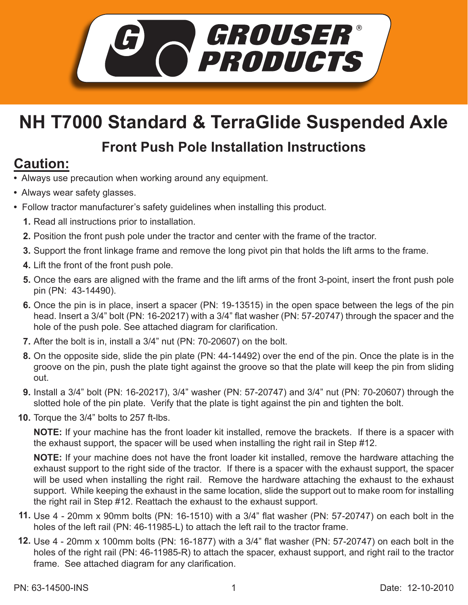

# **NH T7000 Standard & TerraGlide Suspended Axle**

#### **Front Push Pole Installation Instructions**

### **Caution:**

- Always use precaution when working around any equipment.
- Always wear safety glasses.
- Follow tractor manufacturer's safety guidelines when installing this product.
	- **1.** Read all instructions prior to installation.
	- **2.** Position the front push pole under the tractor and center with the frame of the tractor.
	- Support the front linkage frame and remove the long pivot pin that holds the lift arms to the frame. **3.**
	- **4.** Lift the front of the front push pole.
	- **5.** Once the ears are aligned with the frame and the lift arms of the front 3-point, insert the front push pole pin (PN: 43-14490).
	- **6.** Once the pin is in place, insert a spacer (PN: 19-13515) in the open space between the legs of the pin head. Insert a 3/4" bolt (PN: 16-20217) with a 3/4" flat washer (PN: 57-20747) through the spacer and the hole of the push pole. See attached diagram for clarification.
	- **7.** After the bolt is in, install a 3/4" nut (PN: 70-20607) on the bolt.
	- 8. On the opposite side, slide the pin plate (PN: 44-14492) over the end of the pin. Once the plate is in the groove on the pin, push the plate tight against the groove so that the plate will keep the pin from sliding out.
	- Install a 3/4" bolt (PN: 16-20217), 3/4" washer (PN: 57-20747) and 3/4" nut (PN: 70-20607) through the **9.** slotted hole of the pin plate. Verify that the plate is tight against the pin and tighten the bolt.
	- **10.** Torque the 3/4" bolts to 257 ft-lbs.

**NOTE:** If your machine has the front loader kit installed, remove the brackets. If there is a spacer with the exhaust support, the spacer will be used when installing the right rail in Step #12.

**NOTE:** If your machine does not have the front loader kit installed, remove the hardware attaching the exhaust support to the right side of the tractor. If there is a spacer with the exhaust support, the spacer will be used when installing the right rail. Remove the hardware attaching the exhaust to the exhaust support. While keeping the exhaust in the same location, slide the support out to make room for installing the right rail in Step #12. Reattach the exhaust to the exhaust support.

- Use 4 20mm x 90mm bolts (PN: 16-1510) with a 3/4" flat washer (PN: 57-20747) on each bolt in the **11.** holes of the left rail (PN: 46-11985-L) to attach the left rail to the tractor frame.
- Use 4 20mm x 100mm bolts (PN: 16-1877) with a 3/4" flat washer (PN: 57-20747) on each bolt in the **12.** holes of the right rail (PN: 46-11985-R) to attach the spacer, exhaust support, and right rail to the tractor frame. See attached diagram for any clarification.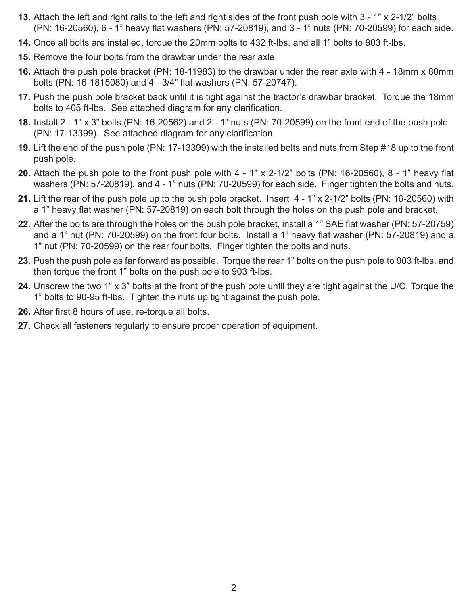- **13.** Attach the left and right rails to the left and right sides of the front push pole with 3 1" x 2-1/2" bolts (PN: 16-20560), 6 - 1" heavy flat washers (PN: 57-20819), and 3 - 1" nuts (PN: 70-20599) for each side.
- 14. Once all bolts are installed, torque the 20mm bolts to 432 ft-lbs. and all 1" bolts to 903 ft-lbs.
- **15.** Remove the four bolts from the drawbar under the rear axle.
- Attach the push pole bracket (PN: 18-11983) to the drawbar under the rear axle with 4 18mm x 80mm **16.** bolts (PN: 16-1815080) and 4 - 3/4" flat washers (PN: 57-20747).
- 17. Push the push pole bracket back until it is tight against the tractor's drawbar bracket. Torque the 18mm bolts to 405 ft-lbs. See attached diagram for any clarification.
- **18.** Install 2 1" x 3" bolts (PN: 16-20562) and 2 1" nuts (PN: 70-20599) on the front end of the push pole (PN: 17-13399). See attached diagram for any clarification.
- **19.** Lift the end of the push pole (PN: 17-13399) with the installed bolts and nuts from Step #18 up to the front push pole.
- Attach the push pole to the front push pole with 4 1" x 2-1/2" bolts (PN: 16-20560), 8 1" heavy flat **20.** washers (PN: 57-20819), and 4 - 1" nuts (PN: 70-20599) for each side. Finger tighten the bolts and nuts.
- Lift the rear of the push pole up to the push pole bracket. Insert 4 1" x 2-1/2" bolts (PN: 16-20560) with **21.** a 1" heavy flat washer (PN: 57-20819) on each bolt through the holes on the push pole and bracket.
- After the bolts are through the holes on the push pole bracket, install a 1" SAE flat washer (PN: 57-20759) **22.** and a 1" nut (PN: 70-20599) on the front four bolts. Install a 1" heavy flat washer (PN: 57-20819) and a 1" nut (PN: 70-20599) on the rear four bolts. Finger tighten the bolts and nuts.
- 23. Push the push pole as far forward as possible. Torque the rear 1" bolts on the push pole to 903 ft-lbs. and then torque the front 1" bolts on the push pole to 903 ft-lbs.
- Unscrew the two 1" x 3" bolts at the front of the push pole until they are tight against the U/C. Torque the **24.** 1" bolts to 90-95 ft-lbs. Tighten the nuts up tight against the push pole.
- **26.** After first 8 hours of use, re-torque all bolts.
- 27. Check all fasteners regularly to ensure proper operation of equipment.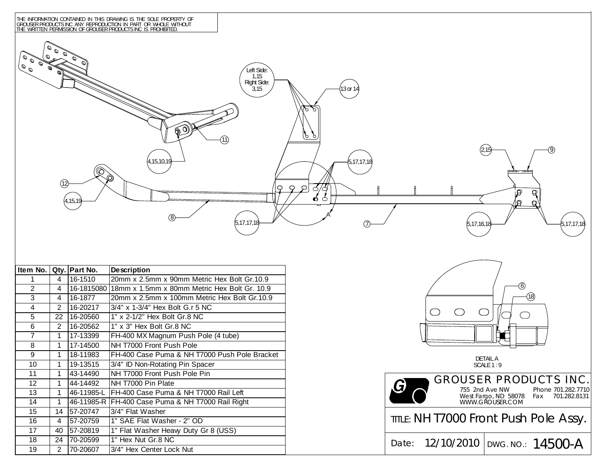

| Item No.        |                | Qty. Part No.           | <b>Description</b>                                  |  |  |
|-----------------|----------------|-------------------------|-----------------------------------------------------|--|--|
| 1               | 4              | 16-1510                 | 20mm x 2.5mm x 90mm Metric Hex Bolt Gr.10.9         |  |  |
| $\mathcal{P}$   | 4              | 16-1815080              | 18mm x 1.5mm x 80mm Metric Hex Bolt Gr. 10.9        |  |  |
| 3               | 4              | 16-1877                 | 20mm x 2.5mm x 100mm Metric Hex Bolt Gr.10.9        |  |  |
| 4               | $\mathfrak{p}$ | 16-20217                | 3/4" x 1-3/4" Hex Bolt G.r 5 NC                     |  |  |
| 5               | 22             | 16-20560                | 1" x 2-1/2" Hex Bolt Gr.8 NC                        |  |  |
| 6               | 2              | 16-20562                | 1" x 3" Hex Bolt Gr.8 NC                            |  |  |
| $\overline{7}$  | 1              | 17-13399                | FH-400 MX Magnum Push Pole (4 tube)                 |  |  |
| 8               | 1              | 17-14500                | NH T7000 Front Push Pole                            |  |  |
| 9               | 1              | 18-11983                | FH-400 Case Puma & NH T7000 Push Pole Bracket       |  |  |
| 10 <sup>1</sup> | 1              | $\overline{19} - 13515$ | 3/4" ID Non-Rotating Pin Spacer                     |  |  |
| 11              | 1              | 43-14490                | NH T7000 Front Push Pole Pin                        |  |  |
| 12 <sup>2</sup> | 1              | 44-14492                | NH T7000 Pin Plate                                  |  |  |
| 13              | 1              | 46-11985-L              | FH-400 Case Puma & NH T7000 Rail Left               |  |  |
| 14              | 1              |                         | 46-11985-R   FH-400 Case Puma & NH T7000 Rail Right |  |  |
| 15 <sub>1</sub> | 14             | 57-20747                | 3/4" Flat Washer                                    |  |  |
| 16              | 4              | 57-20759                | 1" SAE Flat Washer - 2" OD                          |  |  |
| 17              | 40             | 57-20819                | 1" Flat Washer Heavy Duty Gr 8 (USS)                |  |  |
| 18              | 24             | 70-20599                | 1" Hex Nut Gr.8 NC                                  |  |  |
| 19              | 2              | 70-20607                | 3/4" Hex Center Lock Nut                            |  |  |



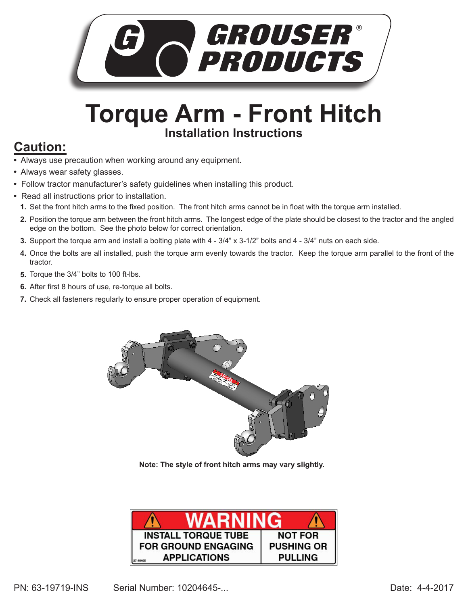

## **Torque Arm - Front Hitch Installation Instructions**

#### **Caution:**

- Always use precaution when working around any equipment.
- Always wear safety glasses.
- Follow tractor manufacturer's safety guidelines when installing this product.
- Read all instructions prior to installation.
	- **1.** Set the front hitch arms to the fixed position. The front hitch arms cannot be in float with the torque arm installed.
	- Position the torque arm between the front hitch arms. The longest edge of the plate should be closest to the tractor and the angled **2.** edge on the bottom. See the photo below for correct orientation.
	- Support the torque arm and install a bolting plate with 4 3/4" x 3-1/2" bolts and 4 3/4" nuts on each side. **3.**
	- **4.** Once the bolts are all installed, push the torque arm evenly towards the tractor. Keep the torque arm parallel to the front of the tractor.
	- **5.** Torque the 3/4" bolts to 100 ft-lbs.
	- After first 8 hours of use, re-torque all bolts. **6.**
	- **7.** Check all fasteners regularly to ensure proper operation of equipment.



**Note: The style of front hitch arms may vary slightly.**